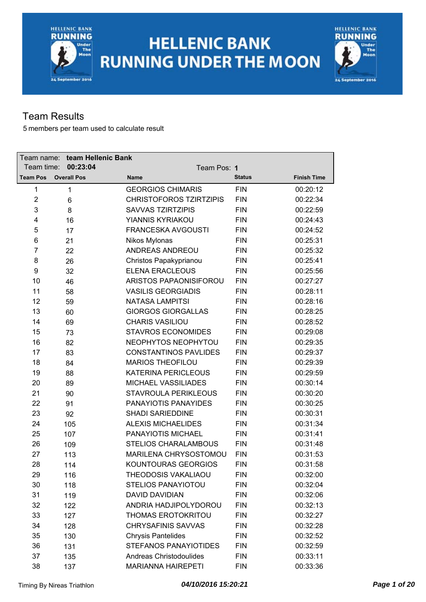



### Team Results

| Team name:      | team Hellenic Bank |                            |                                |               |                    |
|-----------------|--------------------|----------------------------|--------------------------------|---------------|--------------------|
| Team time:      | 00:23:04           |                            | Team Pos: 1                    |               |                    |
| <b>Team Pos</b> | <b>Overall Pos</b> | Name                       |                                | <b>Status</b> | <b>Finish Time</b> |
| 1               | $\mathbf{1}$       | <b>GEORGIOS CHIMARIS</b>   |                                | <b>FIN</b>    | 00:20:12           |
| $\overline{2}$  | 6                  |                            | <b>CHRISTOFOROS TZIRTZIPIS</b> | <b>FIN</b>    | 00:22:34           |
| 3               | 8                  | <b>SAVVAS TZIRTZIPIS</b>   |                                | <b>FIN</b>    | 00:22:59           |
| 4               | 16                 | YIANNIS KYRIAKOU           |                                | <b>FIN</b>    | 00:24:43           |
| 5               | 17                 | <b>FRANCESKA AVGOUSTI</b>  |                                | <b>FIN</b>    | 00:24:52           |
| 6               | 21                 | Nikos Mylonas              |                                | <b>FIN</b>    | 00:25:31           |
| 7               | 22                 | ANDREAS ANDREOU            |                                | <b>FIN</b>    | 00:25:32           |
| 8               | 26                 | Christos Papakyprianou     |                                | <b>FIN</b>    | 00:25:41           |
| 9               | 32                 | <b>ELENA ERACLEOUS</b>     |                                | <b>FIN</b>    | 00:25:56           |
| 10              | 46                 |                            | ARISTOS PAPAONISIFOROU         | <b>FIN</b>    | 00:27:27           |
| 11              | 58                 | <b>VASILIS GEORGIADIS</b>  |                                | <b>FIN</b>    | 00:28:11           |
| 12              | 59                 | <b>NATASA LAMPITSI</b>     |                                | <b>FIN</b>    | 00:28:16           |
| 13              | 60                 | <b>GIORGOS GIORGALLAS</b>  |                                | <b>FIN</b>    | 00:28:25           |
| 14              | 69                 | <b>CHARIS VASILIOU</b>     |                                | <b>FIN</b>    | 00:28:52           |
| 15              | 73                 | <b>STAVROS ECONOMIDES</b>  |                                | <b>FIN</b>    | 00:29:08           |
| 16              | 82                 |                            | NEOPHYTOS NEOPHYTOU            | <b>FIN</b>    | 00:29:35           |
| 17              | 83                 |                            | <b>CONSTANTINOS PAVLIDES</b>   | <b>FIN</b>    | 00:29:37           |
| 18              | 84                 | <b>MARIOS THEOFILOU</b>    |                                | <b>FIN</b>    | 00:29:39           |
| 19              | 88                 | <b>KATERINA PERICLEOUS</b> |                                | <b>FIN</b>    | 00:29:59           |
| 20              | 89                 | MICHAEL VASSILIADES        |                                | <b>FIN</b>    | 00:30:14           |
| 21              | 90                 |                            | STAVROULA PERIKLEOUS           | <b>FIN</b>    | 00:30:20           |
| 22              | 91                 | PANAYIOTIS PANAYIDES       |                                | <b>FIN</b>    | 00:30:25           |
| 23              | 92                 | <b>SHADI SARIEDDINE</b>    |                                | <b>FIN</b>    | 00:30:31           |
| 24              | 105                | <b>ALEXIS MICHAELIDES</b>  |                                | <b>FIN</b>    | 00:31:34           |
| 25              | 107                | PANAYIOTIS MICHAEL         |                                | <b>FIN</b>    | 00:31:41           |
| 26              | 109                |                            | <b>STELIOS CHARALAMBOUS</b>    | <b>FIN</b>    | 00:31:48           |
| 27              | 113                |                            | MARILENA CHRYSOSTOMOU          | <b>FIN</b>    | 00:31:53           |
| 28              | 114                |                            | KOUNTOURAS GEORGIOS            | <b>FIN</b>    | 00:31:58           |
| 29              | 116                | THEODOSIS VAKALIAOU        |                                | <b>FIN</b>    | 00:32:00           |
| 30              | 118                | <b>STELIOS PANAYIOTOU</b>  |                                | <b>FIN</b>    | 00:32:04           |
| 31              | 119                | <b>DAVID DAVIDIAN</b>      |                                | <b>FIN</b>    | 00:32:06           |
| 32              | 122                |                            | ANDRIA HADJIPOLYDOROU          | <b>FIN</b>    | 00:32:13           |
| 33              | 127                | <b>THOMAS EROTOKRITOU</b>  |                                | <b>FIN</b>    | 00:32:27           |
| 34              | 128                | <b>CHRYSAFINIS SAVVAS</b>  |                                | <b>FIN</b>    | 00:32:28           |
| 35              | 130                | <b>Chrysis Pantelides</b>  |                                | <b>FIN</b>    | 00:32:52           |
| 36              | 131                |                            | <b>STEFANOS PANAYIOTIDES</b>   | <b>FIN</b>    | 00:32:59           |
| 37              | 135                | Andreas Christodoulides    |                                | <b>FIN</b>    | 00:33:11           |
| 38              | 137                | <b>MARIANNA HAIREPETI</b>  |                                | <b>FIN</b>    | 00:33:36           |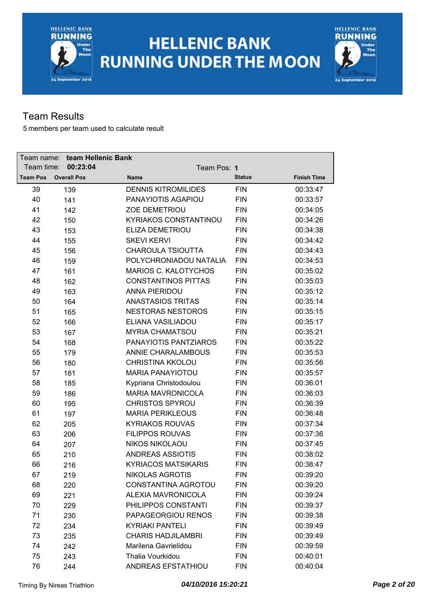# **HELLENIC BANK RUNNING UNDER THE MOON**



### Team Results

| Team name: _    | team Hellenic Bank |                            |                        |               |                    |
|-----------------|--------------------|----------------------------|------------------------|---------------|--------------------|
| Team time:      | 00:23:04           |                            | Team Pos: 1            |               |                    |
| <b>Team Pos</b> | <b>Overall Pos</b> | <b>Name</b>                |                        | <b>Status</b> | <b>Finish Time</b> |
| 39              | 139                | <b>DENNIS KITROMILIDES</b> |                        | <b>FIN</b>    | 00:33:47           |
| 40              | 141                | PANAYIOTIS AGAPIOU         |                        | <b>FIN</b>    | 00:33:57           |
| 41              | 142                | <b>ZOE DEMETRIOU</b>       |                        | <b>FIN</b>    | 00:34:05           |
| 42              | 150                |                            | KYRIAKOS CONSTANTINOU  | <b>FIN</b>    | 00:34:26           |
| 43              | 153                | ELIZA DEMETRIOU            |                        | <b>FIN</b>    | 00:34:38           |
| 44              | 155                | <b>SKEVI KERVI</b>         |                        | <b>FIN</b>    | 00:34:42           |
| 45              | 156                | <b>CHAROULA TSIOUTTA</b>   |                        | <b>FIN</b>    | 00:34:43           |
| 46              | 159                |                            | POLYCHRONIADOU NATALIA | <b>FIN</b>    | 00:34:53           |
| 47              | 161                |                            | MARIOS C. KALOTYCHOS   | <b>FIN</b>    | 00:35:02           |
| 48              | 162                | <b>CONSTANTINOS PITTAS</b> |                        | <b>FIN</b>    | 00:35:03           |
| 49              | 163                | <b>ANNA PIERIDOU</b>       |                        | <b>FIN</b>    | 00:35:12           |
| 50              | 164                | <b>ANASTASIOS TRITAS</b>   |                        | <b>FIN</b>    | 00:35:14           |
| 51              | 165                | <b>NESTORAS NESTOROS</b>   |                        | <b>FIN</b>    | 00:35:15           |
| 52              | 166                | ELIANA VASILIADOU          |                        | <b>FIN</b>    | 00:35:17           |
| 53              | 167                | <b>MYRIA CHAMATSOU</b>     |                        | <b>FIN</b>    | 00:35:21           |
| 54              | 168                |                            | PANAYIOTIS PANTZIAROS  | <b>FIN</b>    | 00:35:22           |
| 55              | 179                | <b>ANNIE CHARALAMBOUS</b>  |                        | <b>FIN</b>    | 00:35:53           |
| 56              | 180                | <b>CHRISTINA KKOLOU</b>    |                        | <b>FIN</b>    | 00:35:56           |
| 57              | 181                | <b>MARIA PANAYIOTOU</b>    |                        | <b>FIN</b>    | 00:35:57           |
| 58              | 185                | Kypriana Christodoulou     |                        | <b>FIN</b>    | 00:36:01           |
| 59              | 186                | <b>MARIA MAVRONICOLA</b>   |                        | <b>FIN</b>    | 00:36:03           |
| 60              | 195                | <b>CHRISTOS SPYROU</b>     |                        | <b>FIN</b>    | 00:36:39           |
| 61              | 197                | <b>MARIA PERIKLEOUS</b>    |                        | <b>FIN</b>    | 00:36:48           |
| 62              | 205                | <b>KYRIAKOS ROUVAS</b>     |                        | <b>FIN</b>    | 00:37:34           |
| 63              | 206                | <b>FILIPPOS ROUVAS</b>     |                        | <b>FIN</b>    | 00:37:36           |
| 64              | 207                | <b>NIKOS NIKOLAOU</b>      |                        | <b>FIN</b>    | 00:37:45           |
| 65              | 210                | <b>ANDREAS ASSIOTIS</b>    |                        | <b>FIN</b>    | 00:38:02           |
| 66              | 216                | <b>KYRIACOS MATSIKARIS</b> |                        | <b>FIN</b>    | 00:38:47           |
| 67              | 219                | NIKOLAS AGROTIS            |                        | FIN           | 00:39:20           |
| 68              | 220                |                            | CONSTANTINA AGROTOU    | <b>FIN</b>    | 00:39:20           |
| 69              | 221                | <b>ALEXIA MAVRONICOLA</b>  |                        | <b>FIN</b>    | 00:39:24           |
| 70              | 229                | PHILIPPOS CONSTANTI        |                        | <b>FIN</b>    | 00:39:37           |
| 71              | 230                | PAPAGEORGIOU RENOS         |                        | <b>FIN</b>    | 00:39:38           |
| 72              | 234                | <b>KYRIAKI PANTELI</b>     |                        | <b>FIN</b>    | 00:39:49           |
| 73              | 235                | <b>CHARIS HADJILAMBRI</b>  |                        | <b>FIN</b>    | 00:39:49           |
| 74              | 242                | Marilena Gavrielidou       |                        | <b>FIN</b>    | 00:39:59           |
| 75              | 243                | Thalia Vourkidou           |                        | <b>FIN</b>    | 00:40:01           |
| 76              | 244                | ANDREAS EFSTATHIOU         |                        | <b>FIN</b>    | 00:40:04           |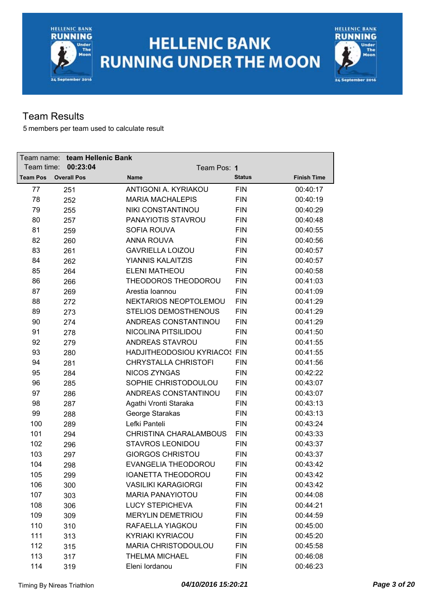# **HELLENIC BANK RUNNING UNDER THE MOON**



### Team Results

| Team name: _    | team Hellenic Bank |                            |                              |               |                    |
|-----------------|--------------------|----------------------------|------------------------------|---------------|--------------------|
| Team time:      | 00:23:04           |                            | Team Pos: 1                  |               |                    |
| <b>Team Pos</b> | <b>Overall Pos</b> | <b>Name</b>                |                              | <b>Status</b> | <b>Finish Time</b> |
| 77              | 251                | ANTIGONI A. KYRIAKOU       |                              | <b>FIN</b>    | 00:40:17           |
| 78              | 252                | <b>MARIA MACHALEPIS</b>    |                              | <b>FIN</b>    | 00:40:19           |
| 79              | 255                | NIKI CONSTANTINOU          |                              | <b>FIN</b>    | 00:40:29           |
| 80              | 257                | PANAYIOTIS STAVROU         |                              | <b>FIN</b>    | 00:40:48           |
| 81              | 259                | SOFIA ROUVA                |                              | <b>FIN</b>    | 00:40:55           |
| 82              | 260                | <b>ANNA ROUVA</b>          |                              | <b>FIN</b>    | 00:40:56           |
| 83              | 261                | <b>GAVRIELLA LOIZOU</b>    |                              | <b>FIN</b>    | 00:40:57           |
| 84              | 262                | <b>YIANNIS KALAITZIS</b>   |                              | <b>FIN</b>    | 00:40:57           |
| 85              | 264                | <b>ELENI MATHEOU</b>       |                              | <b>FIN</b>    | 00:40:58           |
| 86              | 266                |                            | THEODOROS THEODOROU          | <b>FIN</b>    | 00:41:03           |
| 87              | 269                | Arestia Ioannou            |                              | <b>FIN</b>    | 00:41:09           |
| 88              | 272                |                            | NEKTARIOS NEOPTOLEMOU        | <b>FIN</b>    | 00:41:29           |
| 89              | 273                |                            | <b>STELIOS DEMOSTHENOUS</b>  | <b>FIN</b>    | 00:41:29           |
| 90              | 274                |                            | ANDREAS CONSTANTINOU         | <b>FIN</b>    | 00:41:29           |
| 91              | 278                | NICOLINA PITSILIDOU        |                              | <b>FIN</b>    | 00:41:50           |
| 92              | 279                | <b>ANDREAS STAVROU</b>     |                              | <b>FIN</b>    | 00:41:55           |
| 93              | 280                |                            | HADJITHEODOSIOU KYRIACOS FIN |               | 00:41:55           |
| 94              | 281                |                            | <b>CHRYSTALLA CHRISTOFI</b>  | <b>FIN</b>    | 00:41:56           |
| 95              | 284                | <b>NICOS ZYNGAS</b>        |                              | <b>FIN</b>    | 00:42:22           |
| 96              | 285                |                            | SOPHIE CHRISTODOULOU         | <b>FIN</b>    | 00:43:07           |
| 97              | 286                |                            | ANDREAS CONSTANTINOU         | <b>FIN</b>    | 00:43:07           |
| 98              | 287                | Agathi Vronti Staraka      |                              | <b>FIN</b>    | 00:43:13           |
| 99              | 288                | George Starakas            |                              | <b>FIN</b>    | 00:43:13           |
| 100             | 289                | Lefki Panteli              |                              | <b>FIN</b>    | 00:43:24           |
| 101             | 294                |                            | CHRISTINA CHARALAMBOUS       | <b>FIN</b>    | 00:43:33           |
| 102             | 296                | <b>STAVROS LEONIDOU</b>    |                              | <b>FIN</b>    | 00:43:37           |
| 103             | 297                | <b>GIORGOS CHRISTOU</b>    |                              | <b>FIN</b>    | 00:43:37           |
| 104             | 298                |                            | EVANGELIA THEODOROU          | <b>FIN</b>    | 00:43:42           |
| 105             | 299                | <b>IOANETTA THEODOROU</b>  |                              | FIN           | 00:43:42           |
| 106             | 300                | <b>VASILIKI KARAGIORGI</b> |                              | <b>FIN</b>    | 00:43:42           |
| 107             | 303                | <b>MARIA PANAYIOTOU</b>    |                              | <b>FIN</b>    | 00:44:08           |
| 108             | 306                | <b>LUCY STEPICHEVA</b>     |                              | <b>FIN</b>    | 00:44:21           |
| 109             | 309                | <b>MERYLIN DEMETRIOU</b>   |                              | <b>FIN</b>    | 00:44:59           |
| 110             | 310                | RAFAELLA YIAGKOU           |                              | <b>FIN</b>    | 00:45:00           |
| 111             | 313                | <b>KYRIAKI KYRIACOU</b>    |                              | <b>FIN</b>    | 00:45:20           |
| 112             | 315                |                            | <b>MARIA CHRISTODOULOU</b>   | <b>FIN</b>    | 00:45:58           |
| 113             | 317                | <b>THELMA MICHAEL</b>      |                              | <b>FIN</b>    | 00:46:08           |
| 114             | 319                | Eleni lordanou             |                              | <b>FIN</b>    | 00:46:23           |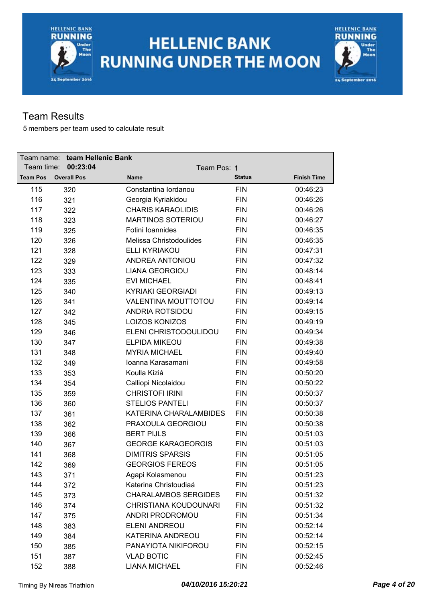# **HELLENIC BANK RUNNING UNDER THE MOON**



### Team Results

| Team name:      | team Hellenic Bank |                             |               |                    |
|-----------------|--------------------|-----------------------------|---------------|--------------------|
| Team time:      | 00:23:04           | Team Pos: 1                 |               |                    |
| <b>Team Pos</b> | <b>Overall Pos</b> | Name                        | <b>Status</b> | <b>Finish Time</b> |
| 115             | 320                | Constantina lordanou        | <b>FIN</b>    | 00:46:23           |
| 116             | 321                | Georgia Kyriakidou          | <b>FIN</b>    | 00:46:26           |
| 117             | 322                | <b>CHARIS KARAOLIDIS</b>    | <b>FIN</b>    | 00:46:26           |
| 118             | 323                | <b>MARTINOS SOTERIOU</b>    | <b>FIN</b>    | 00:46:27           |
| 119             | 325                | Fotini Ioannides            | <b>FIN</b>    | 00:46:35           |
| 120             | 326                | Melissa Christodoulides     | <b>FIN</b>    | 00:46:35           |
| 121             | 328                | <b>ELLI KYRIAKOU</b>        | <b>FIN</b>    | 00:47:31           |
| 122             | 329                | ANDREA ANTONIOU             | <b>FIN</b>    | 00:47:32           |
| 123             | 333                | <b>LIANA GEORGIOU</b>       | <b>FIN</b>    | 00:48:14           |
| 124             | 335                | <b>EVI MICHAEL</b>          | <b>FIN</b>    | 00:48:41           |
| 125             | 340                | <b>KYRIAKI GEORGIADI</b>    | <b>FIN</b>    | 00:49:13           |
| 126             | 341                | VALENTINA MOUTTOTOU         | <b>FIN</b>    | 00:49:14           |
| 127             | 342                | <b>ANDRIA ROTSIDOU</b>      | <b>FIN</b>    | 00:49:15           |
| 128             | 345                | <b>LOIZOS KONIZOS</b>       | <b>FIN</b>    | 00:49:19           |
| 129             | 346                | ELENI CHRISTODOULIDOU       | <b>FIN</b>    | 00:49:34           |
| 130             | 347                | ELPIDA MIKEOU               | <b>FIN</b>    | 00:49:38           |
| 131             | 348                | <b>MYRIA MICHAEL</b>        | <b>FIN</b>    | 00:49:40           |
| 132             | 349                | Ioanna Karasamani           | <b>FIN</b>    | 00:49:58           |
| 133             | 353                | Koulla Kiziá                | <b>FIN</b>    | 00:50:20           |
| 134             | 354                | Calliopi Nicolaidou         | <b>FIN</b>    | 00:50:22           |
| 135             | 359                | <b>CHRISTOFI IRINI</b>      | <b>FIN</b>    | 00:50:37           |
| 136             | 360                | <b>STELIOS PANTELI</b>      | <b>FIN</b>    | 00:50:37           |
| 137             | 361                | KATERINA CHARALAMBIDES      | <b>FIN</b>    | 00:50:38           |
| 138             | 362                | PRAXOULA GEORGIOU           | <b>FIN</b>    | 00:50:38           |
| 139             | 366                | <b>BERT PIJLS</b>           | <b>FIN</b>    | 00:51:03           |
| 140             | 367                | <b>GEORGE KARAGEORGIS</b>   | <b>FIN</b>    | 00:51:03           |
| 141             | 368                | <b>DIMITRIS SPARSIS</b>     | <b>FIN</b>    | 00:51:05           |
| 142             | 369                | <b>GEORGIOS FEREOS</b>      | <b>FIN</b>    | 00:51:05           |
| 143             | 371                | Agapi Kolasmenou            | <b>FIN</b>    | 00:51:23           |
| 144             | 372                | Katerina Christoudiaá       | <b>FIN</b>    | 00:51:23           |
| 145             | 373                | <b>CHARALAMBOS SERGIDES</b> | <b>FIN</b>    | 00:51:32           |
| 146             | 374                | CHRISTIANA KOUDOUNARI       | <b>FIN</b>    | 00:51:32           |
| 147             | 375                | ANDRI PRODROMOU             | <b>FIN</b>    | 00:51:34           |
| 148             | 383                | ELENI ANDREOU               | <b>FIN</b>    | 00:52:14           |
| 149             | 384                | <b>KATERINA ANDREOU</b>     | <b>FIN</b>    | 00:52:14           |
| 150             | 385                | PANAYIOTA NIKIFOROU         | <b>FIN</b>    | 00:52:15           |
| 151             | 387                | <b>VLAD BOTIC</b>           | <b>FIN</b>    | 00:52:45           |
| 152             | 388                | <b>LIANA MICHAEL</b>        | <b>FIN</b>    | 00:52:46           |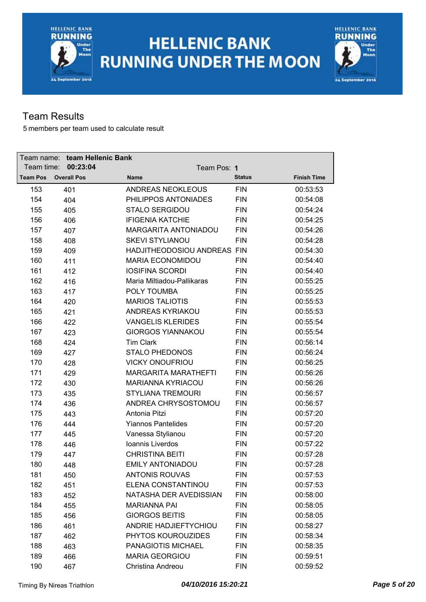



#### Team Results

| Team name:      | team Hellenic Bank |                            |                             |               |                    |
|-----------------|--------------------|----------------------------|-----------------------------|---------------|--------------------|
| Team time:      | 00:23:04           |                            | Team Pos: 1                 |               |                    |
| <b>Team Pos</b> | <b>Overall Pos</b> | Name                       |                             | <b>Status</b> | <b>Finish Time</b> |
| 153             | 401                | <b>ANDREAS NEOKLEOUS</b>   |                             | <b>FIN</b>    | 00:53:53           |
| 154             | 404                | PHILIPPOS ANTONIADES       |                             | <b>FIN</b>    | 00:54:08           |
| 155             | 405                | <b>STALO SERGIDOU</b>      |                             | <b>FIN</b>    | 00:54:24           |
| 156             | 406                | <b>IFIGENIA KATCHIE</b>    |                             | <b>FIN</b>    | 00:54:25           |
| 157             | 407                |                            | <b>MARGARITA ANTONIADOU</b> | <b>FIN</b>    | 00:54:26           |
| 158             | 408                | <b>SKEVI STYLIANOU</b>     |                             | <b>FIN</b>    | 00:54:28           |
| 159             | 409                |                            | HADJITHEODOSIOU ANDREAS FIN |               | 00:54:30           |
| 160             | 411                | <b>MARIA ECONOMIDOU</b>    |                             | <b>FIN</b>    | 00:54:40           |
| 161             | 412                | <b>IOSIFINA SCORDI</b>     |                             | <b>FIN</b>    | 00:54:40           |
| 162             | 416                | Maria Miltiadou-Pallikaras |                             | <b>FIN</b>    | 00:55:25           |
| 163             | 417                | POLY TOUMBA                |                             | <b>FIN</b>    | 00:55:25           |
| 164             | 420                | <b>MARIOS TALIOTIS</b>     |                             | <b>FIN</b>    | 00:55:53           |
| 165             | 421                | ANDREAS KYRIAKOU           |                             | <b>FIN</b>    | 00:55:53           |
| 166             | 422                | <b>VANGELIS KLERIDES</b>   |                             | <b>FIN</b>    | 00:55:54           |
| 167             | 423                | <b>GIORGOS YIANNAKOU</b>   |                             | <b>FIN</b>    | 00:55:54           |
| 168             | 424                | <b>Tim Clark</b>           |                             | <b>FIN</b>    | 00:56:14           |
| 169             | 427                | <b>STALO PHEDONOS</b>      |                             | <b>FIN</b>    | 00:56:24           |
| 170             | 428                | <b>VICKY ONOUFRIOU</b>     |                             | <b>FIN</b>    | 00:56:25           |
| 171             | 429                |                            | <b>MARGARITA MARATHEFTI</b> | <b>FIN</b>    | 00:56:26           |
| 172             | 430                | MARIANNA KYRIACOU          |                             | <b>FIN</b>    | 00:56:26           |
| 173             | 435                | <b>STYLIANA TREMOURI</b>   |                             | <b>FIN</b>    | 00:56:57           |
| 174             | 436                |                            | ANDREA CHRYSOSTOMOU         | <b>FIN</b>    | 00:56:57           |
| 175             | 443                | Antonia Pitzi              |                             | <b>FIN</b>    | 00:57:20           |
| 176             | 444                | <b>Yiannos Pantelides</b>  |                             | <b>FIN</b>    | 00:57:20           |
| 177             | 445                | Vanessa Stylianou          |                             | <b>FIN</b>    | 00:57:20           |
| 178             | 446                | Ioannis Liverdos           |                             | <b>FIN</b>    | 00:57:22           |
| 179             | 447                | <b>CHRISTINA BEITI</b>     |                             | <b>FIN</b>    | 00:57:28           |
| 180             | 448                | <b>EMILY ANTONIADOU</b>    |                             | <b>FIN</b>    | 00:57:28           |
| 181             | 450                | <b>ANTONIS ROUVAS</b>      |                             | <b>FIN</b>    | 00:57:53           |
| 182             | 451                | ELENA CONSTANTINOU         |                             | <b>FIN</b>    | 00:57:53           |
| 183             | 452                |                            | NATASHA DER AVEDISSIAN      | <b>FIN</b>    | 00:58:00           |
| 184             | 455                | <b>MARIANNA PAI</b>        |                             | <b>FIN</b>    | 00:58:05           |
| 185             | 456                | <b>GIORGOS BEITIS</b>      |                             | <b>FIN</b>    | 00:58:05           |
| 186             | 461                |                            | ANDRIE HADJIEFTYCHIOU       | <b>FIN</b>    | 00:58:27           |
| 187             | 462                | PHYTOS KOUROUZIDES         |                             | <b>FIN</b>    | 00:58:34           |
| 188             | 463                | PANAGIOTIS MICHAEL         |                             | <b>FIN</b>    | 00:58:35           |
| 189             | 466                | <b>MARIA GEORGIOU</b>      |                             | <b>FIN</b>    | 00:59:51           |
| 190             | 467                | Christina Andreou          |                             | <b>FIN</b>    | 00:59:52           |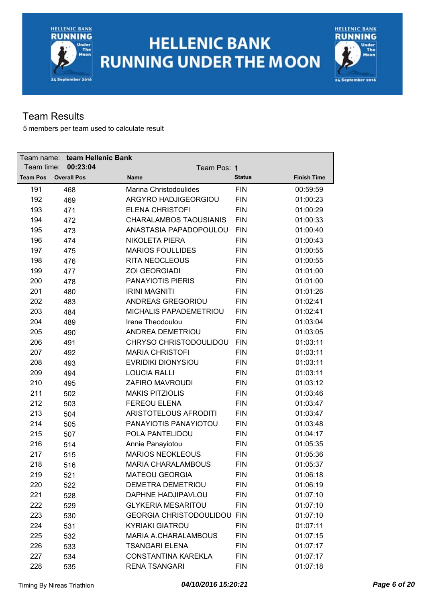



### Team Results

| Team name:      | team Hellenic Bank |                           |                                    |               |                    |
|-----------------|--------------------|---------------------------|------------------------------------|---------------|--------------------|
| Team time:      | 00:23:04           |                           | Team Pos: 1                        |               |                    |
| <b>Team Pos</b> | <b>Overall Pos</b> | <b>Name</b>               |                                    | <b>Status</b> | <b>Finish Time</b> |
| 191             | 468                | Marina Christodoulides    |                                    | <b>FIN</b>    | 00:59:59           |
| 192             | 469                |                           | ARGYRO HADJIGEORGIOU               | <b>FIN</b>    | 01:00:23           |
| 193             | 471                | <b>ELENA CHRISTOFI</b>    |                                    | <b>FIN</b>    | 01:00:29           |
| 194             | 472                |                           | <b>CHARALAMBOS TAOUSIANIS</b>      | <b>FIN</b>    | 01:00:33           |
| 195             | 473                |                           | ANASTASIA PAPADOPOULOU             | <b>FIN</b>    | 01:00:40           |
| 196             | 474                | <b>NIKOLETA PIERA</b>     |                                    | <b>FIN</b>    | 01:00:43           |
| 197             | 475                | <b>MARIOS FOULLIDES</b>   |                                    | <b>FIN</b>    | 01:00:55           |
| 198             | 476                | <b>RITA NEOCLEOUS</b>     |                                    | <b>FIN</b>    | 01:00:55           |
| 199             | 477                | <b>ZOI GEORGIADI</b>      |                                    | <b>FIN</b>    | 01:01:00           |
| 200             | 478                | <b>PANAYIOTIS PIERIS</b>  |                                    | <b>FIN</b>    | 01:01:00           |
| 201             | 480                | <b>IRINI MAGNITI</b>      |                                    | <b>FIN</b>    | 01:01:26           |
| 202             | 483                | ANDREAS GREGORIOU         |                                    | <b>FIN</b>    | 01:02:41           |
| 203             | 484                |                           | MICHALIS PAPADEMETRIOU             | <b>FIN</b>    | 01:02:41           |
| 204             | 489                | Irene Theodoulou          |                                    | <b>FIN</b>    | 01:03:04           |
| 205             | 490                | ANDREA DEMETRIOU          |                                    | <b>FIN</b>    | 01:03:05           |
| 206             | 491                |                           | CHRYSO CHRISTODOULIDOU             | <b>FIN</b>    | 01:03:11           |
| 207             | 492                | <b>MARIA CHRISTOFI</b>    |                                    | <b>FIN</b>    | 01:03:11           |
| 208             | 493                | <b>EVRIDIKI DIONYSIOU</b> |                                    | <b>FIN</b>    | 01:03:11           |
| 209             | 494                | <b>LOUCIA RALLI</b>       |                                    | <b>FIN</b>    | 01:03:11           |
| 210             | 495                | ZAFIRO MAVROUDI           |                                    | <b>FIN</b>    | 01:03:12           |
| 211             | 502                | <b>MAKIS PITZIOLIS</b>    |                                    | <b>FIN</b>    | 01:03:46           |
| 212             | 503                | <b>FEREOU ELENA</b>       |                                    | <b>FIN</b>    | 01:03:47           |
| 213             | 504                |                           | <b>ARISTOTELOUS AFRODITI</b>       | <b>FIN</b>    | 01:03:47           |
| 214             | 505                |                           | PANAYIOTIS PANAYIOTOU              | <b>FIN</b>    | 01:03:48           |
| 215             | 507                | POLA PANTELIDOU           |                                    | <b>FIN</b>    | 01:04:17           |
| 216             | 514                | Annie Panayiotou          |                                    | <b>FIN</b>    | 01:05:35           |
| 217             | 515                | <b>MARIOS NEOKLEOUS</b>   |                                    | <b>FIN</b>    | 01:05:36           |
| 218             | 516                |                           | <b>MARIA CHARALAMBOUS</b>          | <b>FIN</b>    | 01:05:37           |
| 219             | 521                | <b>MATEOU GEORGIA</b>     |                                    | <b>FIN</b>    | 01:06:18           |
| 220             | 522                | DEMETRA DEMETRIOU         |                                    | <b>FIN</b>    | 01:06:19           |
| 221             | 528                | DAPHNE HADJIPAVLOU        |                                    | <b>FIN</b>    | 01:07:10           |
| 222             | 529                | <b>GLYKERIA MESARITOU</b> |                                    | <b>FIN</b>    | 01:07:10           |
| 223             | 530                |                           | <b>GEORGIA CHRISTODOULIDOU FIN</b> |               | 01:07:10           |
| 224             | 531                | <b>KYRIAKI GIATROU</b>    |                                    | <b>FIN</b>    | 01:07:11           |
| 225             | 532                |                           | <b>MARIA A.CHARALAMBOUS</b>        | <b>FIN</b>    | 01:07:15           |
| 226             | 533                | <b>TSANGARI ELENA</b>     |                                    | <b>FIN</b>    | 01:07:17           |
| 227             | 534                |                           | <b>CONSTANTINA KAREKLA</b>         | <b>FIN</b>    | 01:07:17           |
| 228             | 535                | <b>RENA TSANGARI</b>      |                                    | <b>FIN</b>    | 01:07:18           |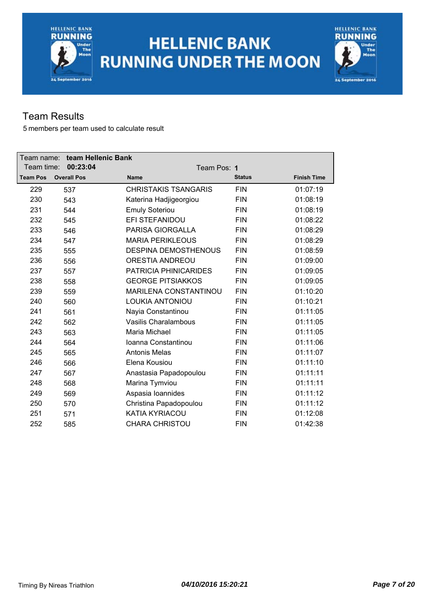



### Team Results

| Team name:      | team Hellenic Bank |                              |               |                    |
|-----------------|--------------------|------------------------------|---------------|--------------------|
| Team time:      | 00:23:04           | Team Pos: 1                  |               |                    |
| <b>Team Pos</b> | <b>Overall Pos</b> | <b>Name</b>                  | <b>Status</b> | <b>Finish Time</b> |
| 229             | 537                | <b>CHRISTAKIS TSANGARIS</b>  | <b>FIN</b>    | 01:07:19           |
| 230             | 543                | Katerina Hadjigeorgiou       | <b>FIN</b>    | 01:08:19           |
| 231             | 544                | <b>Emuly Soteriou</b>        | <b>FIN</b>    | 01:08:19           |
| 232             | 545                | EFI STEFANIDOU               | <b>FIN</b>    | 01:08:22           |
| 233             | 546                | <b>PARISA GIORGALLA</b>      | <b>FIN</b>    | 01:08:29           |
| 234             | 547                | <b>MARIA PERIKLEOUS</b>      | <b>FIN</b>    | 01:08:29           |
| 235             | 555                | <b>DESPINA DEMOSTHENOUS</b>  | <b>FIN</b>    | 01:08:59           |
| 236             | 556                | <b>ORESTIA ANDREOU</b>       | <b>FIN</b>    | 01:09:00           |
| 237             | 557                | PATRICIA PHINICARIDES        | <b>FIN</b>    | 01:09:05           |
| 238             | 558                | <b>GEORGE PITSIAKKOS</b>     | <b>FIN</b>    | 01:09:05           |
| 239             | 559                | <b>MARILENA CONSTANTINOU</b> | <b>FIN</b>    | 01:10:20           |
| 240             | 560                | <b>LOUKIA ANTONIOU</b>       | <b>FIN</b>    | 01:10:21           |
| 241             | 561                | Nayia Constantinou           | <b>FIN</b>    | 01:11:05           |
| 242             | 562                | Vasilis Charalambous         | <b>FIN</b>    | 01:11:05           |
| 243             | 563                | Maria Michael                | <b>FIN</b>    | 01:11:05           |
| 244             | 564                | Ioanna Constantinou          | <b>FIN</b>    | 01:11:06           |
| 245             | 565                | <b>Antonis Melas</b>         | <b>FIN</b>    | 01:11:07           |
| 246             | 566                | Elena Kousiou                | <b>FIN</b>    | 01:11:10           |
| 247             | 567                | Anastasia Papadopoulou       | <b>FIN</b>    | 01:11:11           |
| 248             | 568                | Marina Tymviou               | <b>FIN</b>    | 01:11:11           |
| 249             | 569                | Aspasia Ioannides            | <b>FIN</b>    | 01:11:12           |
| 250             | 570                | Christina Papadopoulou       | <b>FIN</b>    | 01:11:12           |
| 251             | 571                | KATIA KYRIACOU               | <b>FIN</b>    | 01:12:08           |
| 252             | 585                | <b>CHARA CHRISTOU</b>        | <b>FIN</b>    | 01:42:38           |
|                 |                    |                              |               |                    |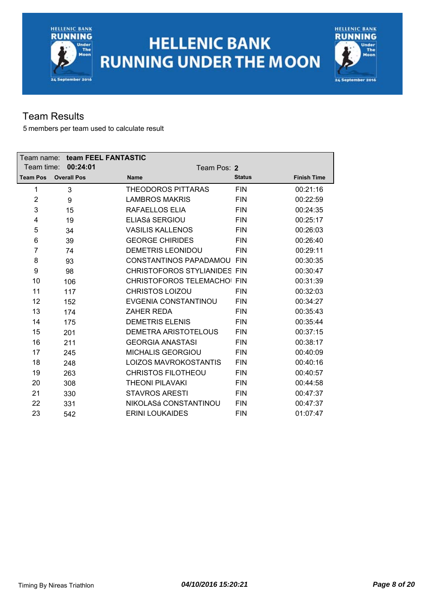



#### Team Results

| Team name:      |                    | team FEEL FANTASTIC                 |               |                    |
|-----------------|--------------------|-------------------------------------|---------------|--------------------|
| Team time:      | 00:24:01           |                                     | Team Pos: 2   |                    |
| <b>Team Pos</b> | <b>Overall Pos</b> | <b>Name</b>                         | <b>Status</b> | <b>Finish Time</b> |
| 1               | 3                  | <b>THEODOROS PITTARAS</b>           | <b>FIN</b>    | 00:21:16           |
| $\overline{2}$  | 9                  | <b>LAMBROS MAKRIS</b>               | <b>FIN</b>    | 00:22:59           |
| 3               | 15                 | RAFAELLOS ELIA                      | <b>FIN</b>    | 00:24:35           |
| 4               | 19                 | <b>ELIASá SERGIOU</b>               | <b>FIN</b>    | 00:25:17           |
| 5               | 34                 | <b>VASILIS KALLENOS</b>             | <b>FIN</b>    | 00:26:03           |
| 6               | 39                 | <b>GEORGE CHIRIDES</b>              | <b>FIN</b>    | 00:26:40           |
| 7               | 74                 | <b>DEMETRIS LEONIDOU</b>            | <b>FIN</b>    | 00:29:11           |
| 8               | 93                 | CONSTANTINOS PAPADAMOU FIN          |               | 00:30:35           |
| 9               | 98                 | <b>CHRISTOFOROS STYLIANIDES FIN</b> |               | 00:30:47           |
| 10              | 106                | CHRISTOFOROS TELEMACHOI FIN         |               | 00:31:39           |
| 11              | 117                | <b>CHRISTOS LOIZOU</b>              | <b>FIN</b>    | 00:32:03           |
| 12              | 152                | EVGENIA CONSTANTINOU                | <b>FIN</b>    | 00:34:27           |
| 13              | 174                | <b>ZAHER REDA</b>                   | <b>FIN</b>    | 00:35:43           |
| 14              | 175                | <b>DEMETRIS ELENIS</b>              | <b>FIN</b>    | 00:35:44           |
| 15              | 201                | DEMETRA ARISTOTELOUS                | <b>FIN</b>    | 00:37:15           |
| 16              | 211                | <b>GEORGIA ANASTASI</b>             | <b>FIN</b>    | 00:38:17           |
| 17              | 245                | <b>MICHALIS GEORGIOU</b>            | <b>FIN</b>    | 00:40:09           |
| 18              | 248                | <b>LOIZOS MAVROKOSTANTIS</b>        | <b>FIN</b>    | 00:40:16           |
| 19              | 263                | <b>CHRISTOS FILOTHEOU</b>           | <b>FIN</b>    | 00:40:57           |
| 20              | 308                | <b>THEONI PILAVAKI</b>              | <b>FIN</b>    | 00:44:58           |
| 21              | 330                | <b>STAVROS ARESTI</b>               | <b>FIN</b>    | 00:47:37           |
| 22              | 331                | NIKOLASá CONSTANTINOU               | <b>FIN</b>    | 00:47:37           |
| 23              | 542                | <b>ERINI LOUKAIDES</b>              | <b>FIN</b>    | 01:07:47           |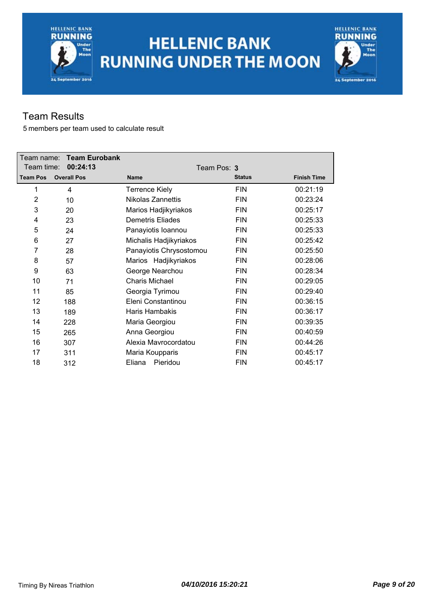# **HELLENIC BANK RUNNING UNDER THE MOON**



### Team Results

| Team name:<br>Team time: | <b>Team Eurobank</b><br>00:24:13 | Team Pos: 3             |               |                    |
|--------------------------|----------------------------------|-------------------------|---------------|--------------------|
| <b>Team Pos</b>          | <b>Overall Pos</b>               | <b>Name</b>             | <b>Status</b> | <b>Finish Time</b> |
| 1                        | 4                                | <b>Terrence Kiely</b>   | <b>FIN</b>    | 00:21:19           |
| $\overline{2}$           | 10                               | Nikolas Zannettis       | <b>FIN</b>    | 00:23:24           |
| 3                        | 20                               | Marios Hadjikyriakos    | <b>FIN</b>    | 00:25:17           |
| 4                        | 23                               | <b>Demetris Eliades</b> | <b>FIN</b>    | 00:25:33           |
| 5                        | 24                               | Panayiotis Ioannou      | <b>FIN</b>    | 00:25:33           |
| 6                        | 27                               | Michalis Hadjikyriakos  | <b>FIN</b>    | 00:25:42           |
| 7                        | 28                               | Panayiotis Chrysostomou | <b>FIN</b>    | 00:25:50           |
| 8                        | 57                               | Marios Hadjikyriakos    | <b>FIN</b>    | 00:28:06           |
| 9                        | 63                               | George Nearchou         | <b>FIN</b>    | 00:28:34           |
| 10                       | 71                               | <b>Charis Michael</b>   | <b>FIN</b>    | 00:29:05           |
| 11                       | 85                               | Georgia Tyrimou         | <b>FIN</b>    | 00:29:40           |
| 12                       | 188                              | Eleni Constantinou      | <b>FIN</b>    | 00:36:15           |
| 13                       | 189                              | <b>Haris Hambakis</b>   | <b>FIN</b>    | 00:36:17           |
| 14                       | 228                              | Maria Georgiou          | <b>FIN</b>    | 00:39:35           |
| 15                       | 265                              | Anna Georgiou           | <b>FIN</b>    | 00:40:59           |
| 16                       | 307                              | Alexia Mavrocordatou    | <b>FIN</b>    | 00:44:26           |
| 17                       | 311                              | Maria Koupparis         | <b>FIN</b>    | 00:45:17           |
| 18                       | 312                              | Pieridou<br>Eliana      | <b>FIN</b>    | 00:45:17           |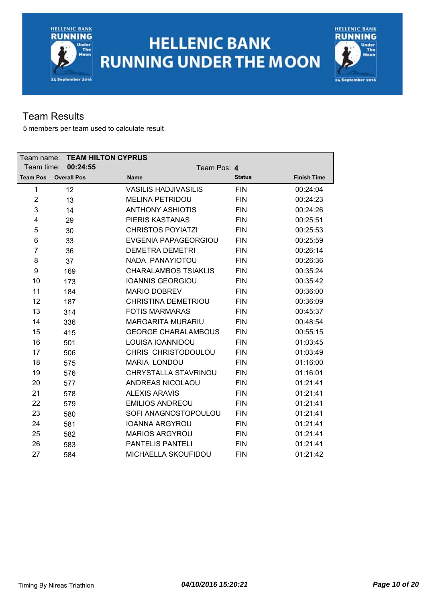



#### Team Results

| Team name:      |                    | <b>TEAM HILTON CYPRUS</b>   |               |                    |
|-----------------|--------------------|-----------------------------|---------------|--------------------|
| Team time:      | 00:24:55           | Team Pos: 4                 |               |                    |
| <b>Team Pos</b> | <b>Overall Pos</b> | <b>Name</b>                 | <b>Status</b> | <b>Finish Time</b> |
| 1               | 12                 | <b>VASILIS HADJIVASILIS</b> | <b>FIN</b>    | 00:24:04           |
| $\overline{2}$  | 13                 | <b>MELINA PETRIDOU</b>      | <b>FIN</b>    | 00:24:23           |
| 3               | 14                 | <b>ANTHONY ASHIOTIS</b>     | <b>FIN</b>    | 00:24:26           |
| 4               | 29                 | <b>PIERIS KASTANAS</b>      | <b>FIN</b>    | 00:25:51           |
| 5               | 30                 | <b>CHRISTOS POYIATZI</b>    | <b>FIN</b>    | 00:25:53           |
| 6               | 33                 | <b>EVGENIA PAPAGEORGIOU</b> | <b>FIN</b>    | 00:25:59           |
| $\overline{7}$  | 36                 | <b>DEMETRA DEMETRI</b>      | <b>FIN</b>    | 00:26:14           |
| 8               | 37                 | NADA PANAYIOTOU             | <b>FIN</b>    | 00:26:36           |
| 9               | 169                | <b>CHARALAMBOS TSIAKLIS</b> | <b>FIN</b>    | 00:35:24           |
| 10              | 173                | <b>IOANNIS GEORGIOU</b>     | <b>FIN</b>    | 00:35:42           |
| 11              | 184                | <b>MARIO DOBREV</b>         | <b>FIN</b>    | 00:36:00           |
| 12              | 187                | <b>CHRISTINA DEMETRIOU</b>  | <b>FIN</b>    | 00:36:09           |
| 13              | 314                | <b>FOTIS MARMARAS</b>       | <b>FIN</b>    | 00:45:37           |
| 14              | 336                | <b>MARGARITA MURARIU</b>    | <b>FIN</b>    | 00:48:54           |
| 15              | 415                | <b>GEORGE CHARALAMBOUS</b>  | <b>FIN</b>    | 00:55:15           |
| 16              | 501                | LOUISA IOANNIDOU            | <b>FIN</b>    | 01:03:45           |
| 17              | 506                | CHRIS CHRISTODOULOU         | <b>FIN</b>    | 01:03:49           |
| 18              | 575                | <b>MARIA LONDOU</b>         | <b>FIN</b>    | 01:16:00           |
| 19              | 576                | CHRYSTALLA STAVRINOU        | <b>FIN</b>    | 01:16:01           |
| 20              | 577                | ANDREAS NICOLAOU            | <b>FIN</b>    | 01:21:41           |
| 21              | 578                | <b>ALEXIS ARAVIS</b>        | <b>FIN</b>    | 01:21:41           |
| 22              | 579                | <b>EMILIOS ANDREOU</b>      | <b>FIN</b>    | 01:21:41           |
| 23              | 580                | SOFI ANAGNOSTOPOULOU        | <b>FIN</b>    | 01:21:41           |
| 24              | 581                | <b>IOANNA ARGYROU</b>       | <b>FIN</b>    | 01:21:41           |
| 25              | 582                | <b>MARIOS ARGYROU</b>       | <b>FIN</b>    | 01:21:41           |
| 26              | 583                | <b>PANTELIS PANTELI</b>     | <b>FIN</b>    | 01:21:41           |
| 27              | 584                | MICHAELLA SKOUFIDOU         | <b>FIN</b>    | 01:21:42           |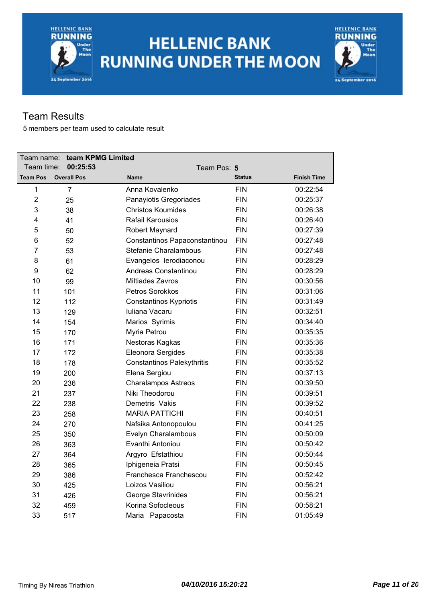# **HELLENIC BANK RUNNING UNDER THE MOON**



#### Team Results

| Team name:      | team KPMG Limited  |                                   |               |                    |
|-----------------|--------------------|-----------------------------------|---------------|--------------------|
| Team time:      | 00:25:53           | Team Pos: 5                       |               |                    |
| <b>Team Pos</b> | <b>Overall Pos</b> | <b>Name</b>                       | <b>Status</b> | <b>Finish Time</b> |
| 1               | $\overline{7}$     | Anna Kovalenko                    | <b>FIN</b>    | 00:22:54           |
| $\overline{2}$  | 25                 | Panayiotis Gregoriades            | <b>FIN</b>    | 00:25:37           |
| 3               | 38                 | <b>Christos Koumides</b>          | <b>FIN</b>    | 00:26:38           |
| 4               | 41                 | <b>Rafail Karousios</b>           | <b>FIN</b>    | 00:26:40           |
| 5               | 50                 | Robert Maynard                    | <b>FIN</b>    | 00:27:39           |
| 6               | 52                 | Constantinos Papaconstantinou     | <b>FIN</b>    | 00:27:48           |
| $\overline{7}$  | 53                 | Stefanie Charalambous             | <b>FIN</b>    | 00:27:48           |
| 8               | 61                 | Evangelos lerodiaconou            | <b>FIN</b>    | 00:28:29           |
| 9               | 62                 | Andreas Constantinou              | <b>FIN</b>    | 00:28:29           |
| 10              | 99                 | Miltiades Zavros                  | <b>FIN</b>    | 00:30:56           |
| 11              | 101                | Petros Sorokkos                   | <b>FIN</b>    | 00:31:06           |
| 12              | 112                | <b>Constantinos Kypriotis</b>     | <b>FIN</b>    | 00:31:49           |
| 13              | 129                | Iuliana Vacaru                    | <b>FIN</b>    | 00:32:51           |
| 14              | 154                | Marios Syrimis                    | <b>FIN</b>    | 00:34:40           |
| 15              | 170                | Myria Petrou                      | <b>FIN</b>    | 00:35:35           |
| 16              | 171                | Nestoras Kagkas                   | <b>FIN</b>    | 00:35:36           |
| 17              | 172                | Eleonora Sergides                 | <b>FIN</b>    | 00:35:38           |
| 18              | 178                | <b>Constantinos Palekythritis</b> | <b>FIN</b>    | 00:35:52           |
| 19              | 200                | Elena Sergiou                     | <b>FIN</b>    | 00:37:13           |
| 20              | 236                | <b>Charalampos Astreos</b>        | <b>FIN</b>    | 00:39:50           |
| 21              | 237                | Niki Theodorou                    | <b>FIN</b>    | 00:39:51           |
| 22              | 238                | Demetris Vakis                    | <b>FIN</b>    | 00:39:52           |
| 23              | 258                | <b>MARIA PATTICHI</b>             | <b>FIN</b>    | 00:40:51           |
| 24              | 270                | Nafsika Antonopoulou              | <b>FIN</b>    | 00:41:25           |
| 25              | 350                | Evelyn Charalambous               | <b>FIN</b>    | 00:50:09           |
| 26              | 363                | Evanthi Antoniou                  | <b>FIN</b>    | 00:50:42           |
| 27              | 364                | Argyro Efstathiou                 | <b>FIN</b>    | 00:50:44           |
| 28              | 365                | Iphigeneia Pratsi                 | <b>FIN</b>    | 00:50:45           |
| 29              | 386                | Franchesca Franchescou            | <b>FIN</b>    | 00:52:42           |
| 30              | 425                | Loizos Vasiliou                   | <b>FIN</b>    | 00:56:21           |
| 31              | 426                | George Stavrinides                | <b>FIN</b>    | 00:56:21           |
| 32              | 459                | Korina Sofocleous                 | <b>FIN</b>    | 00:58:21           |
| 33              | 517                | Maria Papacosta                   | <b>FIN</b>    | 01:05:49           |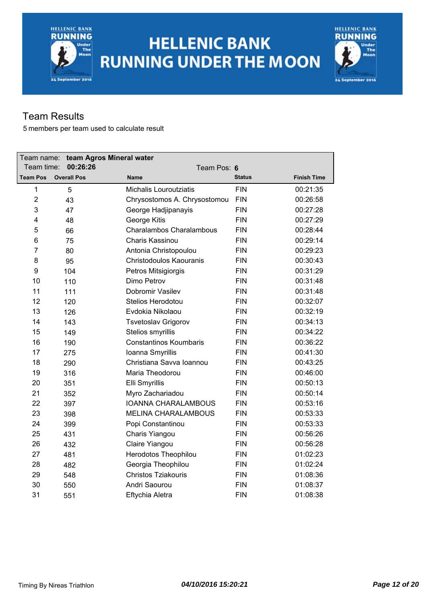



#### Team Results

| Team name:      |  | team Agros Mineral water |                               |               |                    |
|-----------------|--|--------------------------|-------------------------------|---------------|--------------------|
| Team time:      |  | 00:26:26                 | Team Pos: 6                   |               |                    |
| <b>Team Pos</b> |  | <b>Overall Pos</b>       | <b>Name</b>                   | <b>Status</b> | <b>Finish Time</b> |
| $\mathbf{1}$    |  | 5                        | Michalis Louroutziatis        | <b>FIN</b>    | 00:21:35           |
| $\overline{2}$  |  | 43                       | Chrysostomos A. Chrysostomou  | <b>FIN</b>    | 00:26:58           |
| 3               |  | 47                       | George Hadjipanayis           | <b>FIN</b>    | 00:27:28           |
| 4               |  | 48                       | George Kitis                  | <b>FIN</b>    | 00:27:29           |
| 5               |  | 66                       | Charalambos Charalambous      | <b>FIN</b>    | 00:28:44           |
| 6               |  | 75                       | Charis Kassinou               | <b>FIN</b>    | 00:29:14           |
| 7               |  | 80                       | Antonia Christopoulou         | <b>FIN</b>    | 00:29:23           |
| 8               |  | 95                       | Christodoulos Kaouranis       | <b>FIN</b>    | 00:30:43           |
| 9               |  | 104                      | Petros Mitsigiorgis           | <b>FIN</b>    | 00:31:29           |
| 10              |  | 110                      | Dimo Petrov                   | <b>FIN</b>    | 00:31:48           |
| 11              |  | 111                      | Dobromir Vasilev              | <b>FIN</b>    | 00:31:48           |
| 12              |  | 120                      | Stelios Herodotou             | <b>FIN</b>    | 00:32:07           |
| 13              |  | 126                      | Evdokia Nikolaou              | <b>FIN</b>    | 00:32:19           |
| 14              |  | 143                      | <b>Tsvetoslav Grigorov</b>    | <b>FIN</b>    | 00:34:13           |
| 15              |  | 149                      | Stelios smyrillis             | <b>FIN</b>    | 00:34:22           |
| 16              |  | 190                      | <b>Constantinos Koumbaris</b> | <b>FIN</b>    | 00:36:22           |
| 17              |  | 275                      | Ioanna Smyrillis              | <b>FIN</b>    | 00:41:30           |
| 18              |  | 290                      | Christiana Savva Ioannou      | <b>FIN</b>    | 00:43:25           |
| 19              |  | 316                      | Maria Theodorou               | <b>FIN</b>    | 00:46:00           |
| 20              |  | 351                      | Elli Smyrillis                | <b>FIN</b>    | 00:50:13           |
| 21              |  | 352                      | Myro Zachariadou              | <b>FIN</b>    | 00:50:14           |
| 22              |  | 397                      | <b>IOANNA CHARALAMBOUS</b>    | <b>FIN</b>    | 00:53:16           |
| 23              |  | 398                      | <b>MELINA CHARALAMBOUS</b>    | <b>FIN</b>    | 00:53:33           |
| 24              |  | 399                      | Popi Constantinou             | <b>FIN</b>    | 00:53:33           |
| 25              |  | 431                      | Charis Yiangou                | <b>FIN</b>    | 00:56:26           |
| 26              |  | 432                      | Claire Yiangou                | <b>FIN</b>    | 00:56:28           |
| 27              |  | 481                      | Herodotos Theophilou          | <b>FIN</b>    | 01:02:23           |
| 28              |  | 482                      | Georgia Theophilou            | <b>FIN</b>    | 01:02:24           |
| 29              |  | 548                      | <b>Christos Tziakouris</b>    | <b>FIN</b>    | 01:08:36           |
| 30              |  | 550                      | Andri Saourou                 | <b>FIN</b>    | 01:08:37           |
| 31              |  | 551                      | Eftychia Aletra               | <b>FIN</b>    | 01:08:38           |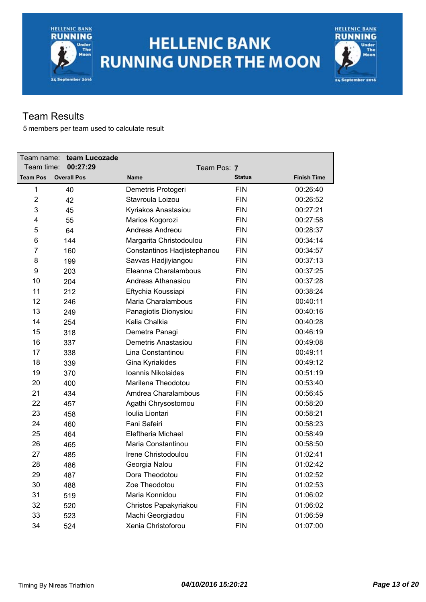## **HELLENIC BANK RUNNING UNDER THE MOON**



### Team Results

| Team name:      | team Lucozade      |                             |               |                    |
|-----------------|--------------------|-----------------------------|---------------|--------------------|
| Team time:      | 00:27:29           | Team Pos: 7                 |               |                    |
| <b>Team Pos</b> | <b>Overall Pos</b> | <b>Name</b>                 | <b>Status</b> | <b>Finish Time</b> |
| $\mathbf{1}$    | 40                 | Demetris Protogeri          | <b>FIN</b>    | 00:26:40           |
| $\overline{2}$  | 42                 | Stavroula Loizou            | <b>FIN</b>    | 00:26:52           |
| 3               | 45                 | Kyriakos Anastasiou         | <b>FIN</b>    | 00:27:21           |
| 4               | 55                 | Marios Kogorozi             | <b>FIN</b>    | 00:27:58           |
| 5               | 64                 | Andreas Andreou             | <b>FIN</b>    | 00:28:37           |
| 6               | 144                | Margarita Christodoulou     | <b>FIN</b>    | 00:34:14           |
| 7               | 160                | Constantinos Hadjistephanou | <b>FIN</b>    | 00:34:57           |
| 8               | 199                | Savvas Hadjiyiangou         | <b>FIN</b>    | 00:37:13           |
| 9               | 203                | Eleanna Charalambous        | <b>FIN</b>    | 00:37:25           |
| 10              | 204                | Andreas Athanasiou          | <b>FIN</b>    | 00:37:28           |
| 11              | 212                | Eftychia Koussiapi          | <b>FIN</b>    | 00:38:24           |
| 12              | 246                | Maria Charalambous          | <b>FIN</b>    | 00:40:11           |
| 13              | 249                | Panagiotis Dionysiou        | <b>FIN</b>    | 00:40:16           |
| 14              | 254                | Kalia Chalkia               | <b>FIN</b>    | 00:40:28           |
| 15              | 318                | Demetra Panagi              | <b>FIN</b>    | 00:46:19           |
| 16              | 337                | Demetris Anastasiou         | <b>FIN</b>    | 00:49:08           |
| 17              | 338                | Lina Constantinou           | <b>FIN</b>    | 00:49:11           |
| 18              | 339                | Gina Kyriakides             | <b>FIN</b>    | 00:49:12           |
| 19              | 370                | Ioannis Nikolaides          | <b>FIN</b>    | 00:51:19           |
| 20              | 400                | Marilena Theodotou          | <b>FIN</b>    | 00:53:40           |
| 21              | 434                | Amdrea Charalambous         | <b>FIN</b>    | 00:56:45           |
| 22              | 457                | Agathi Chrysostomou         | <b>FIN</b>    | 00:58:20           |
| 23              | 458                | Ioulia Liontari             | <b>FIN</b>    | 00:58:21           |
| 24              | 460                | Fani Safeiri                | <b>FIN</b>    | 00:58:23           |
| 25              | 464                | Eleftheria Michael          | <b>FIN</b>    | 00:58:49           |
| 26              | 465                | Maria Constantinou          | <b>FIN</b>    | 00:58:50           |
| 27              | 485                | Irene Christodoulou         | <b>FIN</b>    | 01:02:41           |
| 28              | 486                | Georgia Nalou               | <b>FIN</b>    | 01:02:42           |
| 29              | 487                | Dora Theodotou              | FIN           | 01:02:52           |
| 30              | 488                | Zoe Theodotou               | <b>FIN</b>    | 01:02:53           |
| 31              | 519                | Maria Konnidou              | <b>FIN</b>    | 01:06:02           |
| 32              | 520                | Christos Papakyriakou       | <b>FIN</b>    | 01:06:02           |
| 33              | 523                | Machi Georgiadou            | <b>FIN</b>    | 01:06:59           |
| 34              | 524                | Xenia Christoforou          | <b>FIN</b>    | 01:07:00           |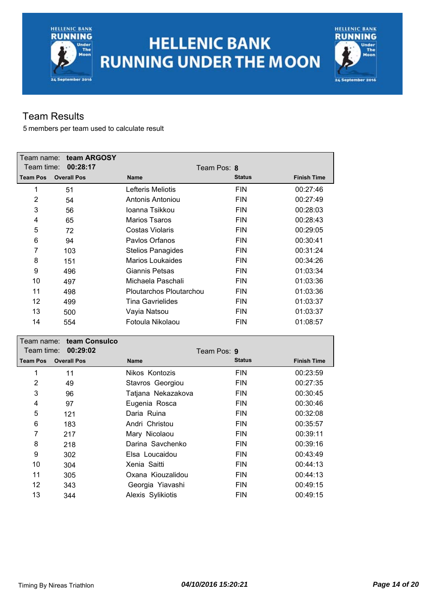# **HELLENIC BANK RUNNING UNDER THE MOON**



### Team Results

| Team name:      | team ARGOSY        |                          |               |                    |
|-----------------|--------------------|--------------------------|---------------|--------------------|
| Team time:      | 00:28:17           |                          | Team Pos: 8   |                    |
| <b>Team Pos</b> | <b>Overall Pos</b> | <b>Name</b>              | <b>Status</b> | <b>Finish Time</b> |
| 1               | 51                 | Lefteris Meliotis        | <b>FIN</b>    | 00:27:46           |
| 2               | 54                 | Antonis Antoniou         | <b>FIN</b>    | 00:27:49           |
| 3               | 56                 | Joanna Tsikkou           | <b>FIN</b>    | 00:28:03           |
| 4               | 65                 | <b>Marios Tsaros</b>     | <b>FIN</b>    | 00:28:43           |
| 5               | 72                 | Costas Violaris          | <b>FIN</b>    | 00:29:05           |
| 6               | 94                 | Paylos Orfanos           | <b>FIN</b>    | 00:30:41           |
| 7               | 103                | <b>Stelios Panagides</b> | <b>FIN</b>    | 00:31:24           |
| 8               | 151                | Marios Loukaides         | <b>FIN</b>    | 00:34:26           |
| 9               | 496                | Giannis Petsas           | <b>FIN</b>    | 01:03:34           |
| 10              | 497                | Michaela Paschali        | <b>FIN</b>    | 01:03:36           |
| 11              | 498                | Ploutarchos Ploutarchou  | <b>FIN</b>    | 01:03:36           |
| 12              | 499                | <b>Tina Gavrielides</b>  | <b>FIN</b>    | 01:03:37           |
| 13              | 500                | Vayia Natsou             | <b>FIN</b>    | 01:03:37           |
| 14              | 554                | Fotoula Nikolaou         | <b>FIN</b>    | 01:08:57           |

|                 | Team name: team Consulco |                    |               |                    |
|-----------------|--------------------------|--------------------|---------------|--------------------|
|                 | Team time: 00:29:02      | Team Pos: 9        |               |                    |
| <b>Team Pos</b> | <b>Overall Pos</b>       | <b>Name</b>        | <b>Status</b> | <b>Finish Time</b> |
| 1               | 11                       | Nikos Kontozis     | <b>FIN</b>    | 00:23:59           |
| $\overline{2}$  | 49                       | Stavros Georgiou   | <b>FIN</b>    | 00:27:35           |
| 3               | 96                       | Tatjana Nekazakova | <b>FIN</b>    | 00:30:45           |
| 4               | 97                       | Eugenia Rosca      | <b>FIN</b>    | 00:30:46           |
| 5               | 121                      | Daria Ruina        | <b>FIN</b>    | 00:32:08           |
| 6               | 183                      | Andri Christou     | <b>FIN</b>    | 00:35:57           |
| 7               | 217                      | Mary Nicolaou      | <b>FIN</b>    | 00:39:11           |
| 8               | 218                      | Darina Savchenko   | <b>FIN</b>    | 00:39:16           |
| 9               | 302                      | Elsa Loucaidou     | <b>FIN</b>    | 00:43:49           |
| 10              | 304                      | Xenia Saitti       | <b>FIN</b>    | 00:44:13           |
| 11              | 305                      | Oxana Kiouzalidou  | <b>FIN</b>    | 00:44:13           |
| 12              | 343                      | Georgia Yiavashi   | <b>FIN</b>    | 00:49:15           |
| 13              | 344                      | Alexis Sylikiotis  | <b>FIN</b>    | 00:49:15           |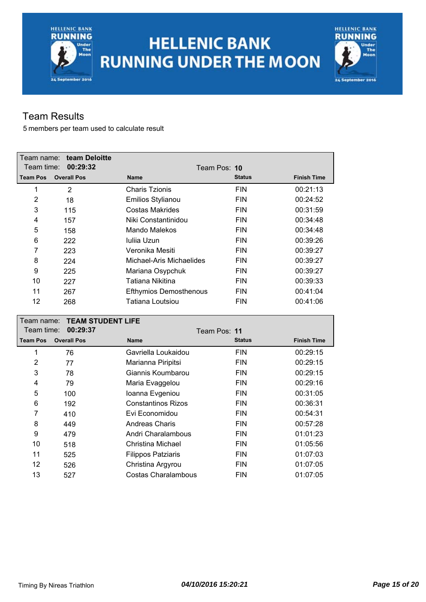# **HELLENIC BANK RUNNING UNDER THE MOON**



### Team Results

| Team name:<br>Team time: | team Deloitte<br>00:29:32            | Team Pos: 10                  |               |                    |
|--------------------------|--------------------------------------|-------------------------------|---------------|--------------------|
| <b>Team Pos</b>          | <b>Overall Pos</b>                   | <b>Name</b>                   | <b>Status</b> | <b>Finish Time</b> |
| $\mathbf 1$              | $\overline{2}$                       | <b>Charis Tzionis</b>         | <b>FIN</b>    | 00:21:13           |
| $\overline{2}$           | 18                                   | Emilios Stylianou             | <b>FIN</b>    | 00:24:52           |
| 3                        | 115                                  | <b>Costas Makrides</b>        | <b>FIN</b>    | 00:31:59           |
| 4                        | 157                                  | Niki Constantinidou           | <b>FIN</b>    | 00:34:48           |
| 5                        | 158                                  | Mando Malekos                 | <b>FIN</b>    | 00:34:48           |
| 6                        | 222                                  | Iuliia Uzun                   | <b>FIN</b>    | 00:39:26           |
| $\overline{7}$           | 223                                  | Veronika Mesiti               | <b>FIN</b>    | 00:39:27           |
| 8                        | 224                                  | Michael-Aris Michaelides      | <b>FIN</b>    | 00:39:27           |
| 9                        | 225                                  | Mariana Osypchuk              | <b>FIN</b>    | 00:39:27           |
| 10                       | 227                                  | Tatiana Nikitina              | <b>FIN</b>    | 00:39:33           |
| 11                       | 267                                  | <b>Efthymios Demosthenous</b> | <b>FIN</b>    | 00:41:04           |
| 12                       | 268                                  | <b>Tatiana Loutsiou</b>       | <b>FIN</b>    | 00:41:06           |
|                          |                                      |                               |               |                    |
| Team name:               |                                      |                               |               |                    |
| Team time:               | <b>TEAM STUDENT LIFE</b><br>00:29:37 | Team Pos: 11                  |               |                    |
| <b>Team Pos</b>          | <b>Overall Pos</b>                   | <b>Name</b>                   | <b>Status</b> | <b>Finish Time</b> |
| $\mathbf{1}$             | 76                                   | Gavriella Loukaidou           | <b>FIN</b>    | 00:29:15           |
| $\overline{2}$           | 77                                   | Marianna Piripitsi            | <b>FIN</b>    | 00:29:15           |
| 3                        | 78                                   | Giannis Koumbarou             | <b>FIN</b>    | 00:29:15           |
| 4                        | 79                                   | Maria Evaggelou               | <b>FIN</b>    | 00:29:16           |
| 5                        | 100                                  | Ioanna Evgeniou               | <b>FIN</b>    | 00:31:05           |
| 6                        | 192                                  | <b>Constantinos Rizos</b>     | <b>FIN</b>    | 00:36:31           |
| 7                        | 410                                  | Evi Economidou                | <b>FIN</b>    | 00:54:31           |
| 8                        | 449                                  | <b>Andreas Charis</b>         | <b>FIN</b>    | 00:57:28           |
| 9                        | 479                                  | Andri Charalambous            | <b>FIN</b>    | 01:01:23           |
| 10                       | 518                                  | Christina Michael             | <b>FIN</b>    | 01:05:56           |
| 11                       | 525                                  | <b>Filippos Patziaris</b>     | <b>FIN</b>    | 01:07:03           |
| 12                       | 526                                  | Christina Argyrou             | <b>FIN</b>    | 01:07:05           |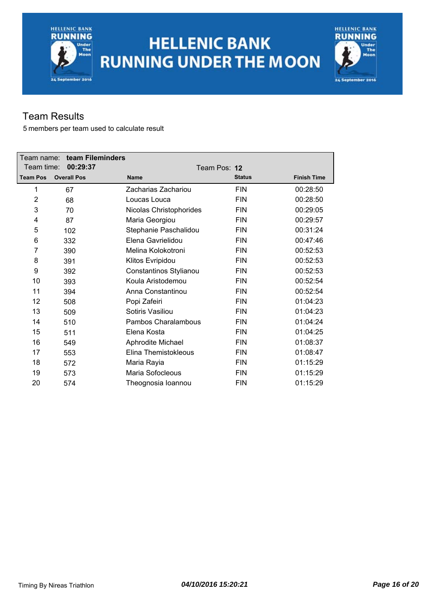# **HELLENIC BANK RUNNING UNDER THE MOON**



### Team Results

| Team name:      | team Fileminders   |                         |               |                    |
|-----------------|--------------------|-------------------------|---------------|--------------------|
| Team time:      | 00:29:37           |                         | Team Pos: 12  |                    |
| <b>Team Pos</b> | <b>Overall Pos</b> | <b>Name</b>             | <b>Status</b> | <b>Finish Time</b> |
| 1               | 67                 | Zacharias Zachariou     | <b>FIN</b>    | 00:28:50           |
| 2               | 68                 | Loucas Louca            | <b>FIN</b>    | 00:28:50           |
| 3               | 70                 | Nicolas Christophorides | <b>FIN</b>    | 00:29:05           |
| 4               | 87                 | Maria Georgiou          | <b>FIN</b>    | 00:29:57           |
| 5               | 102                | Stephanie Paschalidou   | <b>FIN</b>    | 00:31:24           |
| 6               | 332                | Elena Gavrielidou       | <b>FIN</b>    | 00:47:46           |
| 7               | 390                | Melina Kolokotroni      | <b>FIN</b>    | 00:52:53           |
| 8               | 391                | Klitos Evripidou        | <b>FIN</b>    | 00:52:53           |
| 9               | 392                | Constantinos Stylianou  | <b>FIN</b>    | 00:52:53           |
| 10              | 393                | Koula Aristodemou       | <b>FIN</b>    | 00:52:54           |
| 11              | 394                | Anna Constantinou       | <b>FIN</b>    | 00:52:54           |
| 12              | 508                | Popi Zafeiri            | <b>FIN</b>    | 01:04:23           |
| 13              | 509                | Sotiris Vasiliou        | <b>FIN</b>    | 01:04:23           |
| 14              | 510                | Pambos Charalambous     | <b>FIN</b>    | 01:04:24           |
| 15              | 511                | Elena Kosta             | <b>FIN</b>    | 01:04:25           |
| 16              | 549                | Aphrodite Michael       | <b>FIN</b>    | 01:08:37           |
| 17              | 553                | Elina Themistokleous    | <b>FIN</b>    | 01:08:47           |
| 18              | 572                | Maria Rayia             | <b>FIN</b>    | 01:15:29           |
| 19              | 573                | Maria Sofocleous        | <b>FIN</b>    | 01:15:29           |
| 20              | 574                | Theognosia Ioannou      | <b>FIN</b>    | 01:15:29           |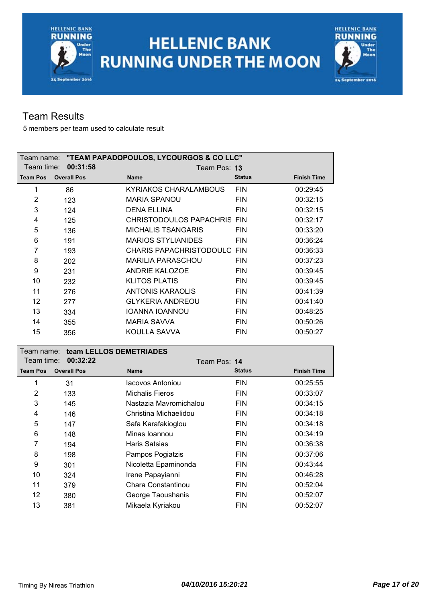



### Team Results

|                 |                    |                                | Team name: "TEAM PAPADOPOULOS, LYCOURGOS & CO LLC" |                    |  |  |
|-----------------|--------------------|--------------------------------|----------------------------------------------------|--------------------|--|--|
| Team time:      | 00:31:58           |                                | Team Pos: 13                                       |                    |  |  |
| <b>Team Pos</b> | <b>Overall Pos</b> | <b>Name</b>                    | <b>Status</b>                                      | <b>Finish Time</b> |  |  |
| 1               | 86                 | KYRIAKOS CHARALAMBOUS          | <b>FIN</b>                                         | 00:29:45           |  |  |
| 2               | 123                | <b>MARIA SPANOU</b>            | <b>FIN</b>                                         | 00:32:15           |  |  |
| 3               | 124                | <b>DENA ELLINA</b>             | <b>FIN</b>                                         | 00:32:15           |  |  |
| 4               | 125                | CHRISTODOULOS PAPACHRIS FIN    |                                                    | 00:32:17           |  |  |
| 5               | 136                | <b>MICHALIS TSANGARIS</b>      | <b>FIN</b>                                         | 00:33:20           |  |  |
| 6               | 191                | <b>MARIOS STYLIANIDES</b>      | <b>FIN</b>                                         | 00:36:24           |  |  |
| 7               | 193                | <b>CHARIS PAPACHRISTODOULO</b> | <b>FIN</b>                                         | 00:36:33           |  |  |
| 8               | 202                | MARILIA PARASCHOU              | <b>FIN</b>                                         | 00:37:23           |  |  |
| 9               | 231                | <b>ANDRIE KALOZOE</b>          | <b>FIN</b>                                         | 00:39:45           |  |  |
| 10              | 232                | <b>KLITOS PLATIS</b>           | <b>FIN</b>                                         | 00:39:45           |  |  |
| 11              | 276                | <b>ANTONIS KARAOLIS</b>        | <b>FIN</b>                                         | 00:41:39           |  |  |
| 12              | 277                | <b>GLYKERIA ANDREOU</b>        | <b>FIN</b>                                         | 00:41:40           |  |  |
| 13              | 334                | <b>IOANNA IOANNOU</b>          | <b>FIN</b>                                         | 00:48:25           |  |  |
| 14              | 355                | <b>MARIA SAVVA</b>             | <b>FIN</b>                                         | 00:50:26           |  |  |
| 15              | 356                | KOULLA SAVVA                   | <b>FIN</b>                                         | 00:50:27           |  |  |

| Team name: l    |                    | team LELLOS DEMETRIADES |               |                    |  |  |
|-----------------|--------------------|-------------------------|---------------|--------------------|--|--|
| Team time:      | 00:32:22           | Team Pos: 14            |               |                    |  |  |
| <b>Team Pos</b> | <b>Overall Pos</b> | <b>Name</b>             | <b>Status</b> | <b>Finish Time</b> |  |  |
| 1               | 31                 | Iacovos Antoniou        | <b>FIN</b>    | 00:25:55           |  |  |
| $\overline{2}$  | 133                | <b>Michalis Fieros</b>  | <b>FIN</b>    | 00:33:07           |  |  |
| 3               | 145                | Nastazia Mavromichalou  | <b>FIN</b>    | 00:34:15           |  |  |
| 4               | 146                | Christina Michaelidou   | <b>FIN</b>    | 00:34:18           |  |  |
| 5               | 147                | Safa Karafakioglou      | <b>FIN</b>    | 00:34:18           |  |  |
| 6               | 148                | Minas Ioannou           | <b>FIN</b>    | 00:34:19           |  |  |
| 7               | 194                | Haris Satsias           | <b>FIN</b>    | 00:36:38           |  |  |
| 8               | 198                | Pampos Pogiatzis        | <b>FIN</b>    | 00:37:06           |  |  |
| 9               | 301                | Nicoletta Epaminonda    | <b>FIN</b>    | 00:43:44           |  |  |
| 10              | 324                | Irene Papayianni        | <b>FIN</b>    | 00:46:28           |  |  |
| 11              | 379                | Chara Constantinou      | <b>FIN</b>    | 00:52:04           |  |  |
| 12              | 380                | George Taoushanis       | <b>FIN</b>    | 00:52:07           |  |  |
| 13              | 381                | Mikaela Kyriakou        | <b>FIN</b>    | 00:52:07           |  |  |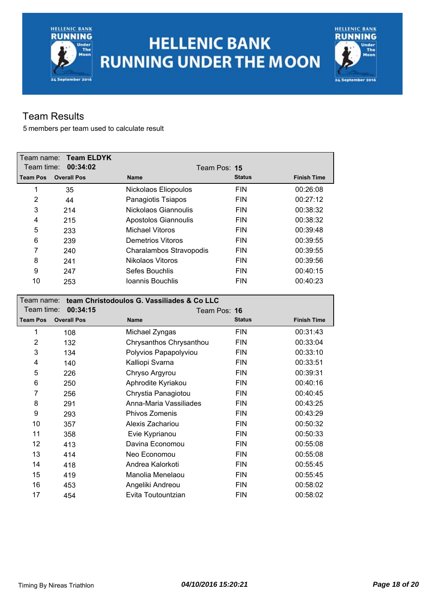## **HELLENIC BANK RUNNING UNDER THE MOON**



### Team Results

|                 | Team name: Team ELDYK |                         |               |                    |
|-----------------|-----------------------|-------------------------|---------------|--------------------|
| Team time:      | 00:34:02              |                         | Team Pos: 15  |                    |
| <b>Team Pos</b> | <b>Overall Pos</b>    | <b>Name</b>             | <b>Status</b> | <b>Finish Time</b> |
| 1               | 35                    | Nickolaos Eliopoulos    | <b>FIN</b>    | 00:26:08           |
| $\overline{2}$  | 44                    | Panagiotis Tsiapos      | <b>FIN</b>    | 00:27:12           |
| 3               | 214                   | Nickolaos Giannoulis    | <b>FIN</b>    | 00:38:32           |
| 4               | 215                   | Apostolos Giannoulis    | <b>FIN</b>    | 00:38:32           |
| 5               | 233                   | Michael Vitoros         | <b>FIN</b>    | 00:39:48           |
| 6               | 239                   | Demetrios Vitoros       | <b>FIN</b>    | 00:39:55           |
| 7               | 240                   | Charalambos Stravopodis | <b>FIN</b>    | 00:39:55           |
| 8               | 241                   | Nikolaos Vitoros        | <b>FIN</b>    | 00:39:56           |
| 9               | 247                   | Sefes Bouchlis          | <b>FIN</b>    | 00:40:15           |
| 10              | 253                   | Ioannis Bouchlis        | <b>FIN</b>    | 00:40:23           |

| team Christodoulos G. Vassiliades & Co LLC<br>Team name: |                    |                         |               |                    |
|----------------------------------------------------------|--------------------|-------------------------|---------------|--------------------|
| Team time:                                               | 00:34:15           | Team Pos: 16            |               |                    |
| <b>Team Pos</b>                                          | <b>Overall Pos</b> | <b>Name</b>             | <b>Status</b> | <b>Finish Time</b> |
| 1                                                        | 108                | Michael Zyngas          | <b>FIN</b>    | 00:31:43           |
| 2                                                        | 132                | Chrysanthos Chrysanthou | <b>FIN</b>    | 00:33:04           |
| 3                                                        | 134                | Polyvios Papapolyviou   | <b>FIN</b>    | 00:33:10           |
| 4                                                        | 140                | Kalliopi Svarna         | <b>FIN</b>    | 00:33:51           |
| 5                                                        | 226                | Chryso Argyrou          | <b>FIN</b>    | 00:39:31           |
| 6                                                        | 250                | Aphrodite Kyriakou      | <b>FIN</b>    | 00:40:16           |
| 7                                                        | 256                | Chrystia Panagiotou     | <b>FIN</b>    | 00:40:45           |
| 8                                                        | 291                | Anna-Maria Vassiliades  | <b>FIN</b>    | 00:43:25           |
| 9                                                        | 293                | Phivos Zomenis          | <b>FIN</b>    | 00:43:29           |
| 10                                                       | 357                | Alexis Zachariou        | <b>FIN</b>    | 00:50:32           |
| 11                                                       | 358                | Evie Kyprianou          | <b>FIN</b>    | 00:50:33           |
| 12                                                       | 413                | Davina Economou         | <b>FIN</b>    | 00:55:08           |
| 13                                                       | 414                | Neo Economou            | <b>FIN</b>    | 00:55:08           |
| 14                                                       | 418                | Andrea Kalorkoti        | <b>FIN</b>    | 00:55:45           |
| 15                                                       | 419                | Manolia Menelaou        | <b>FIN</b>    | 00:55:45           |
| 16                                                       | 453                | Angeliki Andreou        | <b>FIN</b>    | 00:58:02           |
| 17                                                       | 454                | Evita Toutountzian      | <b>FIN</b>    | 00:58:02           |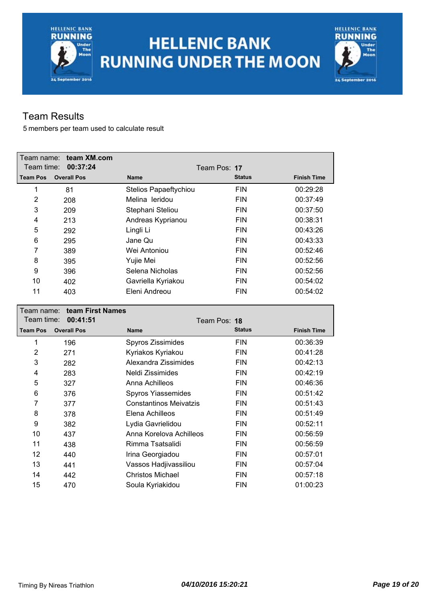# **HELLENIC BANK RUNNING UNDER THE MOON**



### Team Results

| Team name:      | team XM.com        |                       |               |                    |
|-----------------|--------------------|-----------------------|---------------|--------------------|
| Team time:      | 00:37:24           |                       | Team Pos: 17  |                    |
| <b>Team Pos</b> | <b>Overall Pos</b> | <b>Name</b>           | <b>Status</b> | <b>Finish Time</b> |
| 1               | 81                 | Stelios Papaeftychiou | <b>FIN</b>    | 00:29:28           |
| 2               | 208                | Melina leridou        | <b>FIN</b>    | 00:37:49           |
| 3               | 209                | Stephani Steliou      | <b>FIN</b>    | 00:37:50           |
| 4               | 213                | Andreas Kyprianou     | <b>FIN</b>    | 00:38:31           |
| 5               | 292                | Lingli Li             | <b>FIN</b>    | 00:43:26           |
| 6               | 295                | Jane Qu               | <b>FIN</b>    | 00:43:33           |
| 7               | 389                | Wei Antoniou          | <b>FIN</b>    | 00:52:46           |
| 8               | 395                | Yujie Mei             | <b>FIN</b>    | 00:52:56           |
| 9               | 396                | Selena Nicholas       | <b>FIN</b>    | 00:52:56           |
| 10              | 402                | Gavriella Kyriakou    | <b>FIN</b>    | 00:54:02           |
| 11              | 403                | Eleni Andreou         | <b>FIN</b>    | 00:54:02           |

| Team name:      | team First Names   |                               |               |                    |
|-----------------|--------------------|-------------------------------|---------------|--------------------|
| Team time:      | 00:41:51           |                               | Team Pos: 18  |                    |
| <b>Team Pos</b> | <b>Overall Pos</b> | <b>Name</b>                   | <b>Status</b> | <b>Finish Time</b> |
| 1               | 196                | Spyros Zissimides             | <b>FIN</b>    | 00:36:39           |
| $\overline{2}$  | 271                | Kyriakos Kyriakou             | <b>FIN</b>    | 00:41:28           |
| 3               | 282                | Alexandra Zissimides          | <b>FIN</b>    | 00:42:13           |
| 4               | 283                | Neldi Zissimides              | <b>FIN</b>    | 00:42:19           |
| 5               | 327                | Anna Achilleos                | <b>FIN</b>    | 00:46:36           |
| 6               | 376                | Spyros Yiassemides            | <b>FIN</b>    | 00:51:42           |
| 7               | 377                | <b>Constantinos Meivatzis</b> | <b>FIN</b>    | 00:51:43           |
| 8               | 378                | Elena Achilleos               | <b>FIN</b>    | 00:51:49           |
| 9               | 382                | Lydia Gavrielidou             | <b>FIN</b>    | 00:52:11           |
| 10              | 437                | Anna Korelova Achilleos       | <b>FIN</b>    | 00:56:59           |
| 11              | 438                | Rimma Tsatsalidi              | <b>FIN</b>    | 00:56:59           |
| 12              | 440                | Irina Georgiadou              | <b>FIN</b>    | 00:57:01           |
| 13              | 441                | Vassos Hadjivassiliou         | <b>FIN</b>    | 00:57:04           |
| 14              | 442                | Christos Michael              | <b>FIN</b>    | 00:57:18           |
| 15              | 470                | Soula Kyriakidou              | <b>FIN</b>    | 01:00:23           |